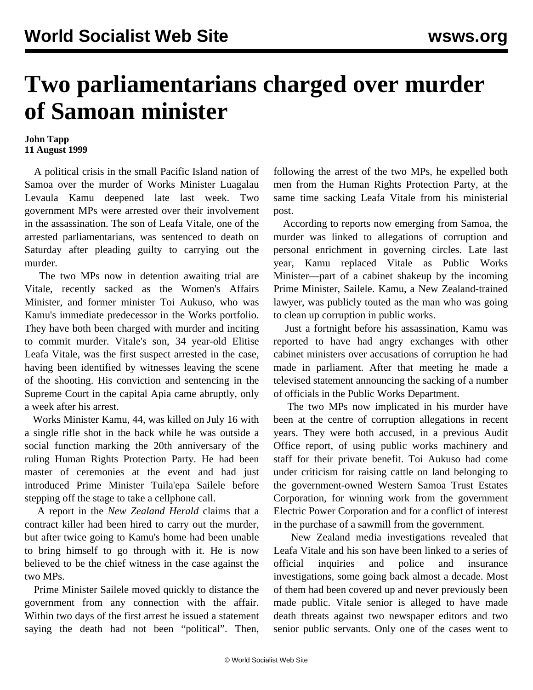## **Two parliamentarians charged over murder of Samoan minister**

## **John Tapp 11 August 1999**

 A political crisis in the small Pacific Island nation of Samoa over the murder of Works Minister Luagalau Levaula Kamu deepened late last week. Two government MPs were arrested over their involvement in the assassination. The son of Leafa Vitale, one of the arrested parliamentarians, was sentenced to death on Saturday after pleading guilty to carrying out the murder.

 The two MPs now in detention awaiting trial are Vitale, recently sacked as the Women's Affairs Minister, and former minister Toi Aukuso, who was Kamu's immediate predecessor in the Works portfolio. They have both been charged with murder and inciting to commit murder. Vitale's son, 34 year-old Elitise Leafa Vitale, was the first suspect arrested in the case, having been identified by witnesses leaving the scene of the shooting. His conviction and sentencing in the Supreme Court in the capital Apia came abruptly, only a week after his arrest.

 Works Minister Kamu, 44, was killed on July 16 with a single rifle shot in the back while he was outside a social function marking the 20th anniversary of the ruling Human Rights Protection Party. He had been master of ceremonies at the event and had just introduced Prime Minister Tuila'epa Sailele before stepping off the stage to take a cellphone call.

 A report in the *New Zealand Herald* claims that a contract killer had been hired to carry out the murder, but after twice going to Kamu's home had been unable to bring himself to go through with it. He is now believed to be the chief witness in the case against the two MPs.

 Prime Minister Sailele moved quickly to distance the government from any connection with the affair. Within two days of the first arrest he issued a statement saying the death had not been "political". Then,

following the arrest of the two MPs, he expelled both men from the Human Rights Protection Party, at the same time sacking Leafa Vitale from his ministerial post.

 According to reports now emerging from Samoa, the murder was linked to allegations of corruption and personal enrichment in governing circles. Late last year, Kamu replaced Vitale as Public Works Minister—part of a cabinet shakeup by the incoming Prime Minister, Sailele. Kamu, a New Zealand-trained lawyer, was publicly touted as the man who was going to clean up corruption in public works.

 Just a fortnight before his assassination, Kamu was reported to have had angry exchanges with other cabinet ministers over accusations of corruption he had made in parliament. After that meeting he made a televised statement announcing the sacking of a number of officials in the Public Works Department.

 The two MPs now implicated in his murder have been at the centre of corruption allegations in recent years. They were both accused, in a previous Audit Office report, of using public works machinery and staff for their private benefit. Toi Aukuso had come under criticism for raising cattle on land belonging to the government-owned Western Samoa Trust Estates Corporation, for winning work from the government Electric Power Corporation and for a conflict of interest in the purchase of a sawmill from the government.

 New Zealand media investigations revealed that Leafa Vitale and his son have been linked to a series of official inquiries and police and insurance investigations, some going back almost a decade. Most of them had been covered up and never previously been made public. Vitale senior is alleged to have made death threats against two newspaper editors and two senior public servants. Only one of the cases went to